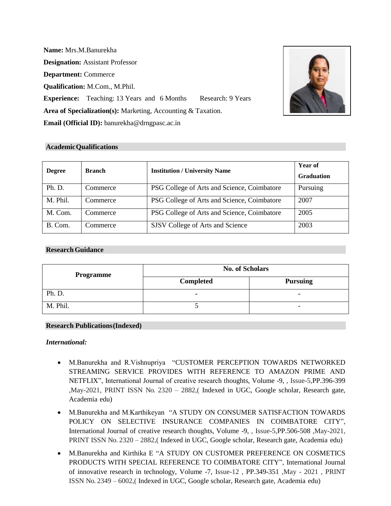**Name:** Mrs.M.Banurekha **Designation:** Assistant Professor **Department:** Commerce **Qualification:** M.Com., M.Phil. **Experience:** Teaching: 13 Years and 6 Months Research: 9 Years **Area of Specialization(s):** Marketing, Accounting & Taxation. **Email (Official ID):** [banurekha@drngpasc.ac.in](mailto:banurekha@drngpasc.ac.in)



| <b>Degree</b> | <b>Branch</b> | <b>Institution / University Name</b>        | Year of<br><b>Graduation</b> |
|---------------|---------------|---------------------------------------------|------------------------------|
| Ph. D.        | Commerce      | PSG College of Arts and Science, Coimbatore | Pursuing                     |
| M. Phil.      | Commerce      | PSG College of Arts and Science, Coimbatore | 2007                         |
| M. Com.       | Commerce      | PSG College of Arts and Science, Coimbatore | 2005                         |
| B. Com.       | Commerce      | SJSV College of Arts and Science            | 2003                         |

### **ResearchGuidance**

| Programme | <b>No. of Scholars</b> |                          |  |
|-----------|------------------------|--------------------------|--|
|           | <b>Completed</b>       | <b>Pursuing</b>          |  |
| Ph. D.    | -                      | ۰                        |  |
| M. Phil.  |                        | $\overline{\phantom{0}}$ |  |

### **Research Publications(Indexed)**

### *International:*

- M.Banurekha and R.Vishnupriya "CUSTOMER PERCEPTION TOWARDS NETWORKED STREAMING SERVICE PROVIDES WITH REFERENCE TO AMAZON PRIME AND NETFLIX", International Journal of creative research thoughts, Volume -9, , Issue-5,PP.396-399 ,May-2021, PRINT ISSN No. 2320 – 2882,( Indexed in UGC, Google scholar, Research gate, Academia edu)
- M.Banurekha and M.Karthikeyan "A STUDY ON CONSUMER SATISFACTION TOWARDS POLICY ON SELECTIVE INSURANCE COMPANIES IN COIMBATORE CITY", International Journal of creative research thoughts, Volume -9, , Issue-5,PP.506-508 ,May-2021, PRINT ISSN No. 2320 – 2882,( Indexed in UGC, Google scholar, Research gate, Academia edu)
- M.Banurekha and Kirthika E "A STUDY ON CUSTOMER PREFERENCE ON COSMETICS PRODUCTS WITH SPECIAL REFERENCE TO COIMBATORE CITY", International Journal of innovative research in technology, Volume -7, Issue-12 , PP.349-351 ,May - 2021 , PRINT ISSN No. 2349 – 6002,( Indexed in UGC, Google scholar, Research gate, Academia edu)

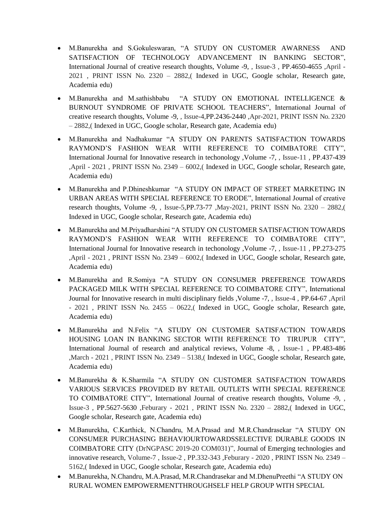- M.Banurekha and S.Gokuleswaran, "A STUDY ON CUSTOMER AWARNESS AND SATISFACTION OF TECHNOLOGY ADVANCEMENT IN BANKING SECTOR", International Journal of creative research thoughts, Volume -9, , Issue-3 , PP.4650-4655 ,April - 2021 , PRINT ISSN No. 2320 – 2882,( Indexed in UGC, Google scholar, Research gate, Academia edu)
- M.Banurekha and M.sathishbabu "A STUDY ON EMOTIONAL INTELLIGENCE & BURNOUT SYNDROME OF PRIVATE SCHOOL TEACHERS", International Journal of creative research thoughts, Volume -9, , Issue-4,PP.2436-2440 ,Apr-2021, PRINT ISSN No. 2320 – 2882,( Indexed in UGC, Google scholar, Research gate, Academia edu)
- M.Banurekha and Nadhakumar "A STUDY ON PARENTS SATISFACTION TOWARDS RAYMOND'S FASHION WEAR WITH REFERENCE TO COIMBATORE CITY", International Journal for Innovative research in techonology ,Volume -7, , Issue-11 , PP.437-439 ,April - 2021 , PRINT ISSN No. 2349 – 6002,( Indexed in UGC, Google scholar, Research gate, Academia edu)
- M.Banurekha and P.Dhineshkumar "A STUDY ON IMPACT OF STREET MARKETING IN URBAN AREAS WITH SPECIAL REFERENCE TO ERODE", International Journal of creative research thoughts, Volume -9, , Issue-5,PP.73-77 ,May-2021, PRINT ISSN No. 2320 – 2882,( Indexed in UGC, Google scholar, Research gate, Academia edu)
- M.Banurekha and M.Priyadharshini "A STUDY ON CUSTOMER SATISFACTION TOWARDS RAYMOND'S FASHION WEAR WITH REFERENCE TO COIMBATORE CITY", International Journal for Innovative research in techonology ,Volume -7, , Issue-11 , PP.273-275 ,April - 2021 , PRINT ISSN No. 2349 – 6002,( Indexed in UGC, Google scholar, Research gate, Academia edu)
- M.Banurekha and R.Somiya "A STUDY ON CONSUMER PREFERENCE TOWARDS PACKAGED MILK WITH SPECIAL REFERENCE TO COIMBATORE CITY", International Journal for Innovative research in multi disciplinary fields ,Volume -7, , Issue-4 , PP.64-67 ,April - 2021 , PRINT ISSN No. 2455 – 0622,( Indexed in UGC, Google scholar, Research gate, Academia edu)
- M.Banurekha and N.Felix "A STUDY ON CUSTOMER SATISFACTION TOWARDS HOUSING LOAN IN BANKING SECTOR WITH REFERENCE TO TIRUPUR CITY", International Journal of research and analytical reviews, Volume -8, , Issue-1 , PP.483-486 ,March - 2021 , PRINT ISSN No. 2349 – 5138,( Indexed in UGC, Google scholar, Research gate, Academia edu)
- M.Banurekha & K.Sharmila "A STUDY ON CUSTOMER SATISFACTION TOWARDS VARIOUS SERVICES PROVIDED BY RETAIL OUTLETS WITH SPECIAL REFERENCE TO COIMBATORE CITY", International Journal of creative research thoughts, Volume -9, , Issue-3 , PP.5627-5630 ,Feburary - 2021 , PRINT ISSN No. 2320 – 2882,( Indexed in UGC, Google scholar, Research gate, Academia edu)
- M.Banurekha, C.Karthick, N.Chandru, M.A.Prasad and M.R.Chandrasekar "A STUDY ON CONSUMER PURCHASING BEHAVIOURTOWARDSSELECTIVE DURABLE GOODS IN COIMBATORE CITY (DrNGPASC 2019-20 COM031)", Journal of Emerging technologies and innovative research, Volume-7 , Issue-2 , PP.332-343 ,Feburary - 2020 , PRINT ISSN No. 2349 – 5162,( Indexed in UGC, Google scholar, Research gate, Academia edu)
- M.Banurekha, N.Chandru, M.A.Prasad, M.R.Chandrasekar and M.DhenuPreethi "A STUDY ON RURAL WOMEN EMPOWERMENTTHROUGHSELF HELP GROUP WITH SPECIAL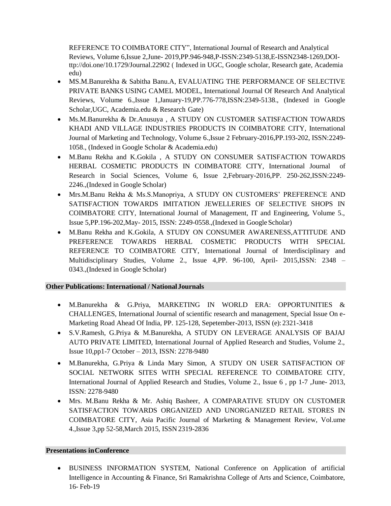REFERENCE TO COIMBATORE CITY", International Journal of Research and Analytical Reviews, Volume 6,Issue 2,June- 2019,PP.946-948,P-ISSN:2349-5138,E-ISSN2348-1269,DOIttp://doi.one/10.1729/Journal.22902 ( Indexed in UGC, Google scholar, Research gate, Academia edu)

- MS.M.Banurekha & Sabitha Banu.A, EVALUATING THE PERFORMANCE OF SELECTIVE PRIVATE BANKS USING CAMEL MODEL, International Journal Of Research And Analytical Reviews, Volume 6.,Issue 1,January-19,PP.776-778,ISSN:2349-5138., (Indexed in Google Scholar,UGC, Academia.edu & Research Gate)
- Ms.M.Banurekha & Dr.Anusuya , A STUDY ON CUSTOMER SATISFACTION TOWARDS KHADI AND VILLAGE INDUSTRIES PRODUCTS IN COIMBATORE CITY, International Journal of Marketing and Technology, Volume 6.,Issue 2 February-2016,PP.193-202, ISSN:2249- 1058., (Indexed in Google Scholar & Academia.edu)
- M.Banu Rekha and K.Gokila , A STUDY ON CONSUMER SATISFACTION TOWARDS HERBAL COSMETIC PRODUCTS IN COIMBATORE CITY, International Journal of Research in Social Sciences, Volume 6, Issue 2,February-2016,PP. 250-262,ISSN:2249- 2246.,(Indexed in Google Scholar)
- Mrs.M.Banu Rekha & Ms.S.Manopriya, A STUDY ON CUSTOMERS' PREFERENCE AND SATISFACTION TOWARDS IMITATION JEWELLERIES OF SELECTIVE SHOPS IN COIMBATORE CITY, International Journal of Management, IT and Engineering, Volume 5., Issue 5,PP.196-202,May- 2015, ISSN: 2249-0558.,(Indexed in GoogleScholar)
- M.Banu Rekha and K.Gokila, A STUDY ON CONSUMER AWARENESS,ATTITUDE AND PREFERENCE TOWARDS HERBAL COSMETIC PRODUCTS WITH SPECIAL REFERENCE TO COIMBATORE CITY, International Journal of Interdisciplinary and Multidisciplinary Studies, Volume 2., Issue 4,PP. 96-100, April- 2015,ISSN: 2348 – 0343.,(Indexed in Google Scholar)

### **Other Publications: International / NationalJournals**

- M.Banurekha & G.Priya, MARKETING IN WORLD ERA: OPPORTUNITIES & CHALLENGES, International Journal of scientific research and management, Special Issue On e-Marketing Road Ahead Of India, PP. 125-128, Sepetember-2013, ISSN (e): 2321-3418
- S.V.Ramesh, G.Priya & M.Banurekha, A STUDY ON LEVERAGE ANALYSIS OF BAJAJ AUTO PRIVATE LIMITED, International Journal of Applied Research and Studies, Volume 2., Issue 10,pp1-7 October – 2013, ISSN: 2278-9480
- M.Banurekha, G.Priya & Linda Mary Simon, A STUDY ON USER SATISFACTION OF SOCIAL NETWORK SITES WITH SPECIAL REFERENCE TO COIMBATORE CITY, International Journal of Applied Research and Studies, Volume 2., Issue 6 , pp 1-7 ,June- 2013, ISSN: 2278-9480
- Mrs. M.Banu Rekha & Mr. Ashiq Basheer, A COMPARATIVE STUDY ON CUSTOMER SATISFACTION TOWARDS ORGANIZED AND UNORGANIZED RETAIL STORES IN COIMBATORE CITY, Asia Pacific Journal of Marketing & Management Review, Vol.ume 4.,Issue 3,pp 52-58,March 2015, ISSN2319-2836

### **Presentations inConference**

• BUSINESS INFORMATION SYSTEM, National Conference on Application of artificial Intelligence in Accounting & Finance, Sri Ramakrishna College of Arts and Science, Coimbatore, 16- Feb-19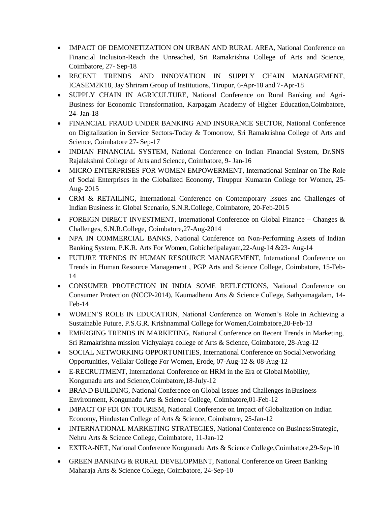- IMPACT OF DEMONETIZATION ON URBAN AND RURAL AREA, National Conference on Financial Inclusion-Reach the Unreached, Sri Ramakrishna College of Arts and Science, Coimbatore, 27- Sep-18
- RECENT TRENDS AND INNOVATION IN SUPPLY CHAIN MANAGEMENT, ICASEM2K18, Jay Shriram Group of Institutions, Tirupur, 6-Apr-18 and 7-Apr-18
- SUPPLY CHAIN IN AGRICULTURE, National Conference on Rural Banking and Agri-Business for Economic Transformation, Karpagam Academy of Higher Education,Coimbatore, 24- Jan-18
- FINANCIAL FRAUD UNDER BANKING AND INSURANCE SECTOR, National Conference on Digitalization in Service Sectors-Today & Tomorrow, Sri Ramakrishna College of Arts and Science, Coimbatore 27- Sep-17
- INDIAN FINANCIAL SYSTEM, National Conference on Indian Financial System, Dr.SNS Rajalakshmi College of Arts and Science, Coimbatore, 9- Jan-16
- MICRO ENTERPRISES FOR WOMEN EMPOWERMENT, International Seminar on The Role of Social Enterprises in the Globalized Economy, Tiruppur Kumaran College for Women, 25- Aug- 2015
- CRM & RETAILING, International Conference on Contemporary Issues and Challenges of Indian Business in Global Scenario, S.N.R.College, Coimbatore, 20-Feb-2015
- FOREIGN DIRECT INVESTMENT, International Conference on Global Finance Changes  $\&$ Challenges, S.N.R.College, Coimbatore,27-Aug-2014
- NPA IN COMMERCIAL BANKS, National Conference on Non-Performing Assets of Indian Banking System, P.K.R. Arts For Women, Gobichetipalayam,22-Aug-14 &23- Aug-14
- FUTURE TRENDS IN HUMAN RESOURCE MANAGEMENT, International Conference on Trends in Human Resource Management , PGP Arts and Science College, Coimbatore, 15-Feb-14
- CONSUMER PROTECTION IN INDIA SOME REFLECTIONS, National Conference on Consumer Protection (NCCP-2014), Kaumadhenu Arts & Science College, Sathyamagalam, 14- Feb-14
- WOMEN'S ROLE IN EDUCATION, National Conference on Women's Role in Achieving a Sustainable Future, P.S.G.R. Krishnammal College for Women,Coimbatore,20-Feb-13
- EMERGING TRENDS IN MARKETING, National Conference on Recent Trends in Marketing, Sri Ramakrishna mission Vidhyalaya college of Arts & Science, Coimbatore, 28-Aug-12
- SOCIAL NETWORKING OPPORTUNITIES, International Conference on Social Networking Opportunities, Vellalar College For Women, Erode, 07-Aug-12 & 08-Aug-12
- E-RECRUITMENT, International Conference on HRM in the Era of Global Mobility, Kongunadu arts and Science,Coimbatore,18-July-12
- BRAND BUILDING, National Conference on Global Issues and Challenges in Business Environment, Kongunadu Arts & Science College, Coimbatore,01-Feb-12
- IMPACT OF FDI ON TOURISM, National Conference on Impact of Globalization on Indian Economy, Hindustan College of Arts & Science, Coimbatore, 25-Jan-12
- INTERNATIONAL MARKETING STRATEGIES, National Conference on Business Strategic, Nehru Arts & Science College, Coimbatore, 11-Jan-12
- EXTRA-NET, National Conference Kongunadu Arts & Science College,Coimbatore,29-Sep-10
- GREEN BANKING & RURAL DEVELOPMENT, National Conference on Green Banking Maharaja Arts & Science College, Coimbatore, 24-Sep-10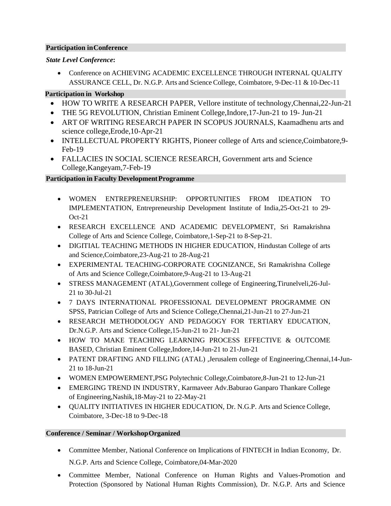### **Participation inConference**

## *State Level Conference***:**

• Conference on ACHIEVING ACADEMIC EXCELLENCE THROUGH INTERNAL QUALITY ASSURANCE CELL, Dr. N.G.P. Arts and Science College, Coimbatore, 9-Dec-11 &10-Dec-11

# **Participation in Workshop**

- HOW TO WRITE A RESEARCH PAPER, Vellore institute of technology, Chennai, 22-Jun-21
- THE 5G REVOLUTION, Christian Eminent College,Indore,17-Jun-21 to 19- Jun-21
- ART OF WRITING RESEARCH PAPER IN SCOPUS JOURNALS, Kaamadhenu arts and science college,Erode,10-Apr-21
- INTELLECTUAL PROPERTY RIGHTS, Pioneer college of Arts and science,Coimbatore,9- Feb-19
- FALLACIES IN SOCIAL SCIENCE RESEARCH, Government arts and Science College,Kangeyam,7-Feb-19

## **Participation in Faculty Development Programme**

- WOMEN ENTREPRENEURSHIP: OPPORTUNITIES FROM IDEATION TO IMPLEMENTATION, Entrepreneurship Development Institute of India,25-Oct-21 to 29- Oct-21
- RESEARCH EXCELLENCE AND ACADEMIC DEVELOPMENT, Sri Ramakrishna College of Arts and Science College, Coimbatore,1-Sep-21 to 8-Sep-21.
- DIGITIAL TEACHING METHODS IN HIGHER EDUCATION, Hindustan College of arts and Science,Coimbatore,23-Aug-21 to 28-Aug-21
- EXPERIMENTAL TEACHING-CORPORATE COGNIZANCE, Sri Ramakrishna College of Arts and Science College,Coimbatore,9-Aug-21 to 13-Aug-21
- STRESS MANAGEMENT (ATAL), Government college of Engineering, Tirunelveli, 26-Jul-21 to 30-Jul-21
- 7 DAYS INTERNATIONAL PROFESSIONAL DEVELOPMENT PROGRAMME ON SPSS, Patrician College of Arts and Science College,Chennai,21-Jun-21 to 27-Jun-21
- RESEARCH METHODOLOGY AND PEDAGOGY FOR TERTIARY EDUCATION, Dr.N.G.P. Arts and Science College,15-Jun-21 to 21- Jun-21
- HOW TO MAKE TEACHING LEARNING PROCESS EFFECTIVE & OUTCOME BASED, Christian Eminent College,Indore,14-Jun-21 to 21-Jun-21
- PATENT DRAFTING AND FILLING (ATAL), Jerusalem college of Engineering, Chennai, 14-Jun-21 to 18-Jun-21
- WOMEN EMPOWERMENT, PSG Polytechnic College, Coimbatore, 8-Jun-21 to 12-Jun-21
- EMERGING TREND IN INDUSTRY, Karmaveer Adv.Baburao Ganparo Thankare College of Engineering,Nashik,18-May-21 to 22-May-21
- QUALITY INITIATIVES IN HIGHER EDUCATION, Dr. N.G.P. Arts and Science College, Coimbatore, 3-Dec-18 to 9-Dec-18

### **Conference / Seminar / WorkshopOrganized**

- Committee Member, National Conference on Implications of FINTECH in Indian Economy, Dr. N.G.P. Arts and Science College, Coimbatore,04-Mar-2020
- Committee Member, National Conference on Human Rights and Values-Promotion and Protection (Sponsored by National Human Rights Commission), Dr. N.G.P. Arts and Science